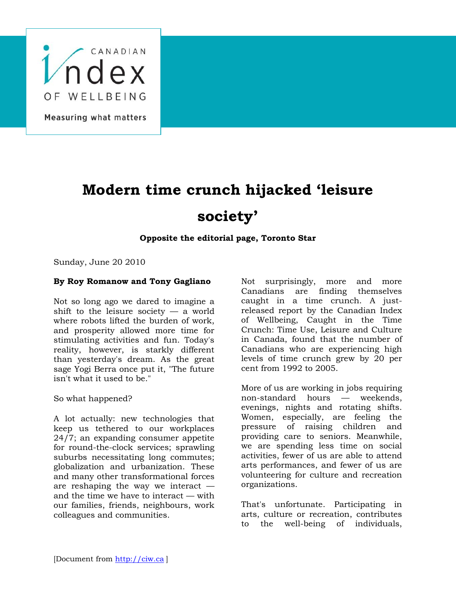

Measuring what matters

## **Modern time crunch hijacked 'leisure society'**

## **Opposite the editorial page, Toronto Star**

Sunday, June 20 2010

## **By Roy Romanow and Tony Gagliano**

Not so long ago we dared to imagine a shift to the leisure society  $-$  a world where robots lifted the burden of work, and prosperity allowed more time for stimulating activities and fun. Today's reality, however, is starkly different than yesterday's dream. As the great sage Yogi Berra once put it, "The future isn't what it used to be."

So what happened?

A lot actually: new technologies that keep us tethered to our workplaces 24/7; an expanding consumer appetite for round-the-clock services; sprawling suburbs necessitating long commutes; globalization and urbanization. These and many other transformational forces are reshaping the way we interact and the time we have to interact — with our families, friends, neighbours, work colleagues and communities.

Not surprisingly, more and more Canadians are finding themselves caught in a time crunch. A justreleased report by the Canadian Index of Wellbeing, Caught in the Time Crunch: Time Use, Leisure and Culture in Canada, found that the number of Canadians who are experiencing high levels of time crunch grew by 20 per cent from 1992 to 2005.

More of us are working in jobs requiring non-standard hours — weekends, evenings, nights and rotating shifts. Women, especially, are feeling the pressure of raising children and providing care to seniors. Meanwhile, we are spending less time on social activities, fewer of us are able to attend arts performances, and fewer of us are volunteering for culture and recreation organizations.

That's unfortunate. Participating in arts, culture or recreation, contributes to the well-being of individuals,